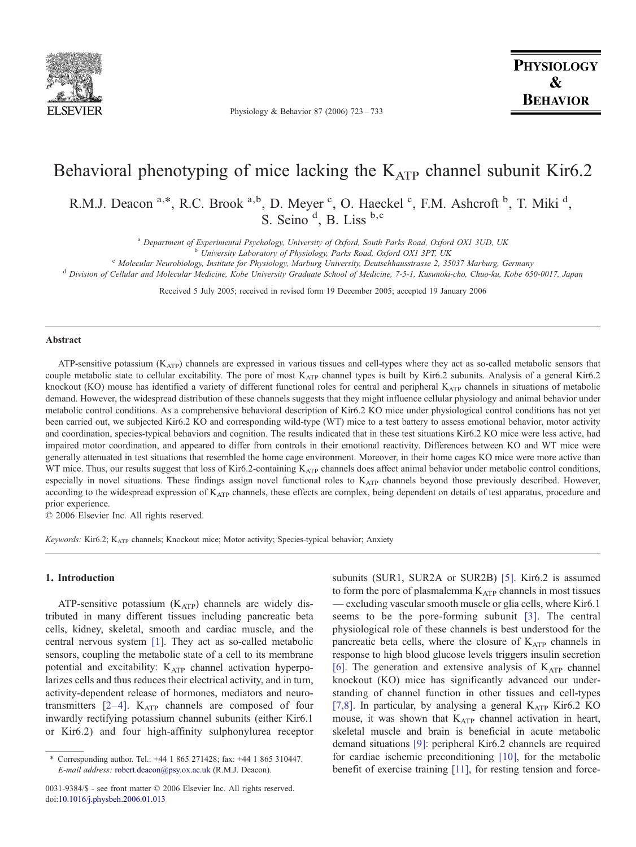

Physiology & Behavior 87 (2006) 723–733

**PHYSIOLOGY**  $\mathbf{\mathcal{R}}$ **BEHAVIOR** 

# Behavioral phenotyping of mice lacking the  $K_{ATP}$  channel subunit Kir6.2

R.M.J. Deacon <sup>a,\*</sup>, R.C. Brook <sup>a,b</sup>, D. Meyer <sup>c</sup>, O. Haeckel <sup>c</sup>, F.M. Ashcroft <sup>b</sup>, T. Miki <sup>d</sup>, S. Seino<sup>d</sup>, B. Liss<sup>b,c</sup>

<sup>a</sup> Department of Experimental Psychology, University of Oxford, South Parks Road, Oxford OX1 3UD, UK<br><sup>b</sup> University Laboratory of Physiology, Parks Road, Oxford OX1 3PT, UK<br><sup>c</sup> Molecular Neurobiology, Institute for Physi

Received 5 July 2005; received in revised form 19 December 2005; accepted 19 January 2006

#### Abstract

ATP-sensitive potassium  $(K_{ATP})$  channels are expressed in various tissues and cell-types where they act as so-called metabolic sensors that couple metabolic state to cellular excitability. The pore of most  $K_{ATP}$  channel types is built by Kir6.2 subunits. Analysis of a general Kir6.2 knockout (KO) mouse has identified a variety of different functional roles for central and peripheral  $K_{ATP}$  channels in situations of metabolic demand. However, the widespread distribution of these channels suggests that they might influence cellular physiology and animal behavior under metabolic control conditions. As a comprehensive behavioral description of Kir6.2 KO mice under physiological control conditions has not yet been carried out, we subjected Kir6.2 KO and corresponding wild-type (WT) mice to a test battery to assess emotional behavior, motor activity and coordination, species-typical behaviors and cognition. The results indicated that in these test situations Kir6.2 KO mice were less active, had impaired motor coordination, and appeared to differ from controls in their emotional reactivity. Differences between KO and WT mice were generally attenuated in test situations that resembled the home cage environment. Moreover, in their home cages KO mice were more active than WT mice. Thus, our results suggest that loss of Kir6.2-containing K<sub>ATP</sub> channels does affect animal behavior under metabolic control conditions, especially in novel situations. These findings assign novel functional roles to K<sub>ATP</sub> channels beyond those previously described. However, according to the widespread expression of K<sub>ATP</sub> channels, these effects are complex, being dependent on details of test apparatus, procedure and prior experience.

© 2006 Elsevier Inc. All rights reserved.

Keywords: Kir6.2; KATP channels; Knockout mice; Motor activity; Species-typical behavior; Anxiety

#### 1. Introduction

ATP-sensitive potassium  $(K<sub>ATP</sub>)$  channels are widely distributed in many different tissues including pancreatic beta cells, kidney, skeletal, smooth and cardiac muscle, and the central nervous system [\[1\]](#page-10-0). They act as so-called metabolic sensors, coupling the metabolic state of a cell to its membrane potential and excitability:  $K_{ATP}$  channel activation hyperpolarizes cells and thus reduces their electrical activity, and in turn, activity-dependent release of hormones, mediators and neurotransmitters  $[2-4]$ .  $K_{ATP}$  channels are composed of four inwardly rectifying potassium channel subunits (either Kir6.1 or Kir6.2) and four high-affinity sulphonylurea receptor subunits (SUR1, SUR2A or SUR2B) [\[5\]](#page-10-0). Kir6.2 is assumed to form the pore of plasmalemma  $K_{ATP}$  channels in most tissues — excluding vascular smooth muscle or glia cells, where Kir6.1 seems to be the pore-forming subunit [\[3\]](#page-10-0). The central physiological role of these channels is best understood for the pancreatic beta cells, where the closure of  $K_{ATP}$  channels in response to high blood glucose levels triggers insulin secretion [\[6\].](#page-10-0) The generation and extensive analysis of  $K_{ATP}$  channel knockout (KO) mice has significantly advanced our understanding of channel function in other tissues and cell-types [\[7,8\]](#page-10-0). In particular, by analysing a general  $K_{ATP}$  Kir6.2 KO mouse, it was shown that  $K_{ATP}$  channel activation in heart, skeletal muscle and brain is beneficial in acute metabolic demand situations [\[9\]:](#page-10-0) peripheral Kir6.2 channels are required for cardiac ischemic preconditioning [\[10\],](#page-10-0) for the metabolic benefit of exercise training [\[11\]](#page-10-0), for resting tension and force-

<sup>⁎</sup> Corresponding author. Tel.: +44 1 865 271428; fax: +44 1 865 310447. E-mail address: [robert.deacon@psy.ox.ac.uk](mailto:robert.deacon@psy.ox.ac.uk) (R.M.J. Deacon).

<sup>0031-9384/\$ -</sup> see front matter © 2006 Elsevier Inc. All rights reserved. doi:[10.1016/j.physbeh.2006.01.013](http://dx.doi.org/10.1016/j.physbeh.2006.01.013)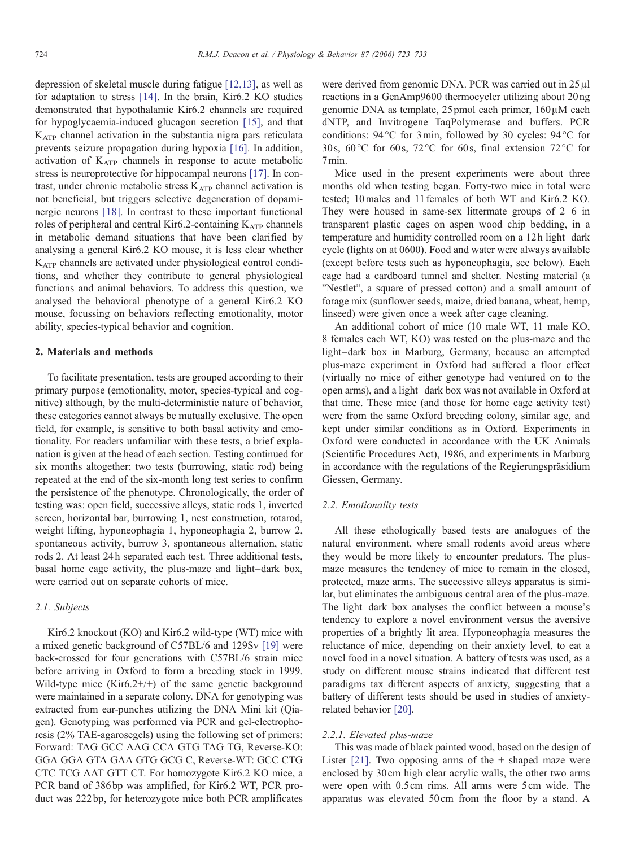depression of skeletal muscle during fatigue [\[12,13\],](#page-10-0) as well as for adaptation to stress [\[14\]](#page-10-0). In the brain, Kir6.2 KO studies demonstrated that hypothalamic Kir6.2 channels are required for hypoglycaemia-induced glucagon secretion [\[15\]](#page-10-0), and that  $K_{ATP}$  channel activation in the substantia nigra pars reticulata prevents seizure propagation during hypoxia [\[16\].](#page-10-0) In addition, activation of  $K<sub>ATP</sub>$  channels in response to acute metabolic stress is neuroprotective for hippocampal neurons [\[17\].](#page-10-0) In contrast, under chronic metabolic stress KATP channel activation is not beneficial, but triggers selective degeneration of dopaminergic neurons [\[18\].](#page-10-0) In contrast to these important functional roles of peripheral and central Kir6.2-containing  $K_{ATP}$  channels in metabolic demand situations that have been clarified by analysing a general Kir6.2 KO mouse, it is less clear whether KATP channels are activated under physiological control conditions, and whether they contribute to general physiological functions and animal behaviors. To address this question, we analysed the behavioral phenotype of a general Kir6.2 KO mouse, focussing on behaviors reflecting emotionality, motor ability, species-typical behavior and cognition.

#### 2. Materials and methods

To facilitate presentation, tests are grouped according to their primary purpose (emotionality, motor, species-typical and cognitive) although, by the multi-deterministic nature of behavior, these categories cannot always be mutually exclusive. The open field, for example, is sensitive to both basal activity and emotionality. For readers unfamiliar with these tests, a brief explanation is given at the head of each section. Testing continued for six months altogether; two tests (burrowing, static rod) being repeated at the end of the six-month long test series to confirm the persistence of the phenotype. Chronologically, the order of testing was: open field, successive alleys, static rods 1, inverted screen, horizontal bar, burrowing 1, nest construction, rotarod, weight lifting, hyponeophagia 1, hyponeophagia 2, burrow 2, spontaneous activity, burrow 3, spontaneous alternation, static rods 2. At least 24 h separated each test. Three additional tests, basal home cage activity, the plus-maze and light–dark box, were carried out on separate cohorts of mice.

# 2.1. Subjects

Kir6.2 knockout (KO) and Kir6.2 wild-type (WT) mice with a mixed genetic background of C57BL/6 and 129Sv [\[19\]](#page-10-0) were back-crossed for four generations with C57BL/6 strain mice before arriving in Oxford to form a breeding stock in 1999. Wild-type mice  $(Kir6.2+/+)$  of the same genetic background were maintained in a separate colony. DNA for genotyping was extracted from ear-punches utilizing the DNA Mini kit (Qiagen). Genotyping was performed via PCR and gel-electrophoresis (2% TAE-agarosegels) using the following set of primers: Forward: TAG GCC AAG CCA GTG TAG TG, Reverse-KO: GGA GGA GTA GAA GTG GCG C, Reverse-WT: GCC CTG CTC TCG AAT GTT CT. For homozygote Kir6.2 KO mice, a PCR band of 386 bp was amplified, for Kir6.2 WT, PCR product was 222 bp, for heterozygote mice both PCR amplificates

were derived from genomic DNA. PCR was carried out in 25μl reactions in a GenAmp9600 thermocycler utilizing about 20 ng genomic DNA as template, 25pmol each primer, 160μM each dNTP, and Invitrogene TaqPolymerase and buffers. PCR conditions: 94 °C for 3min, followed by 30 cycles: 94°C for 30 s, 60 °C for 60 s, 72 °C for 60 s, final extension 72 °C for 7min.

Mice used in the present experiments were about three months old when testing began. Forty-two mice in total were tested; 10males and 11 females of both WT and Kir6.2 KO. They were housed in same-sex littermate groups of 2–6 in transparent plastic cages on aspen wood chip bedding, in a temperature and humidity controlled room on a 12 h light–dark cycle (lights on at 0600). Food and water were always available (except before tests such as hyponeophagia, see below). Each cage had a cardboard tunnel and shelter. Nesting material (a "Nestlet", a square of pressed cotton) and a small amount of forage mix (sunflower seeds, maize, dried banana, wheat, hemp, linseed) were given once a week after cage cleaning.

An additional cohort of mice (10 male WT, 11 male KO, 8 females each WT, KO) was tested on the plus-maze and the light–dark box in Marburg, Germany, because an attempted plus-maze experiment in Oxford had suffered a floor effect (virtually no mice of either genotype had ventured on to the open arms), and a light–dark box was not available in Oxford at that time. These mice (and those for home cage activity test) were from the same Oxford breeding colony, similar age, and kept under similar conditions as in Oxford. Experiments in Oxford were conducted in accordance with the UK Animals (Scientific Procedures Act), 1986, and experiments in Marburg in accordance with the regulations of the Regierungspräsidium Giessen, Germany.

# 2.2. Emotionality tests

All these ethologically based tests are analogues of the natural environment, where small rodents avoid areas where they would be more likely to encounter predators. The plusmaze measures the tendency of mice to remain in the closed, protected, maze arms. The successive alleys apparatus is similar, but eliminates the ambiguous central area of the plus-maze. The light–dark box analyses the conflict between a mouse's tendency to explore a novel environment versus the aversive properties of a brightly lit area. Hyponeophagia measures the reluctance of mice, depending on their anxiety level, to eat a novel food in a novel situation. A battery of tests was used, as a study on different mouse strains indicated that different test paradigms tax different aspects of anxiety, suggesting that a battery of different tests should be used in studies of anxietyrelated behavior [\[20\]](#page-10-0).

# 2.2.1. Elevated plus-maze

This was made of black painted wood, based on the design of Lister  $[21]$ . Two opposing arms of the  $+$  shaped maze were enclosed by 30cm high clear acrylic walls, the other two arms were open with 0.5cm rims. All arms were 5cm wide. The apparatus was elevated 50cm from the floor by a stand. A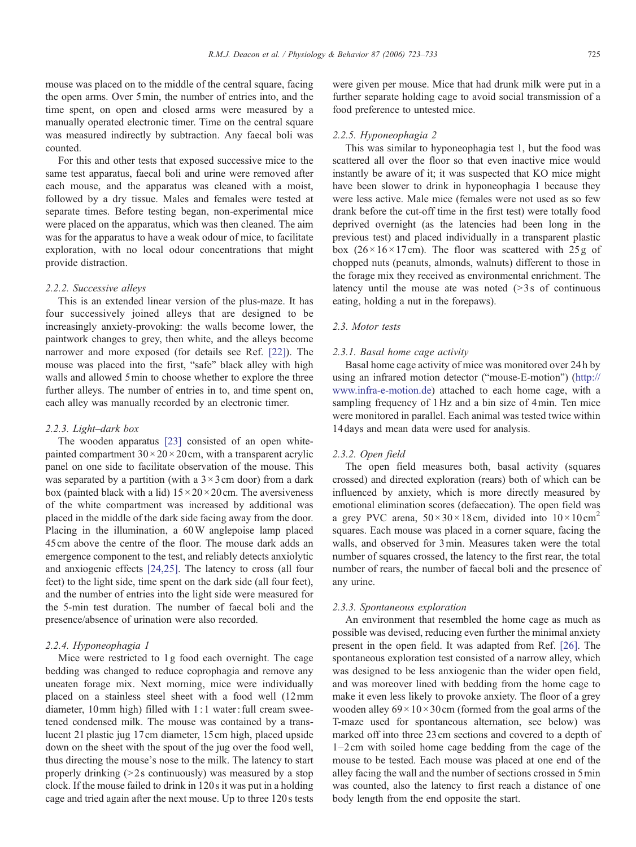mouse was placed on to the middle of the central square, facing the open arms. Over 5min, the number of entries into, and the time spent, on open and closed arms were measured by a manually operated electronic timer. Time on the central square was measured indirectly by subtraction. Any faecal boli was counted.

For this and other tests that exposed successive mice to the same test apparatus, faecal boli and urine were removed after each mouse, and the apparatus was cleaned with a moist, followed by a dry tissue. Males and females were tested at separate times. Before testing began, non-experimental mice were placed on the apparatus, which was then cleaned. The aim was for the apparatus to have a weak odour of mice, to facilitate exploration, with no local odour concentrations that might provide distraction.

# 2.2.2. Successive alleys

This is an extended linear version of the plus-maze. It has four successively joined alleys that are designed to be increasingly anxiety-provoking: the walls become lower, the paintwork changes to grey, then white, and the alleys become narrower and more exposed (for details see Ref. [\[22\]\)](#page-10-0). The mouse was placed into the first, "safe" black alley with high walls and allowed 5min to choose whether to explore the three further alleys. The number of entries in to, and time spent on, each alley was manually recorded by an electronic timer.

#### 2.2.3. Light–dark box

The wooden apparatus [\[23\]](#page-10-0) consisted of an open whitepainted compartment  $30 \times 20 \times 20$  cm, with a transparent acrylic panel on one side to facilitate observation of the mouse. This was separated by a partition (with a  $3 \times 3$  cm door) from a dark box (painted black with a lid)  $15 \times 20 \times 20$  cm. The aversiveness of the white compartment was increased by additional was placed in the middle of the dark side facing away from the door. Placing in the illumination, a 60W anglepoise lamp placed 45cm above the centre of the floor. The mouse dark adds an emergence component to the test, and reliably detects anxiolytic and anxiogenic effects [\[24,25\].](#page-10-0) The latency to cross (all four feet) to the light side, time spent on the dark side (all four feet), and the number of entries into the light side were measured for the 5-min test duration. The number of faecal boli and the presence/absence of urination were also recorded.

#### 2.2.4. Hyponeophagia 1

Mice were restricted to 1 g food each overnight. The cage bedding was changed to reduce coprophagia and remove any uneaten forage mix. Next morning, mice were individually placed on a stainless steel sheet with a food well (12mm diameter, 10mm high) filled with 1: 1 water: full cream sweetened condensed milk. The mouse was contained by a translucent 2l plastic jug 17cm diameter, 15cm high, placed upside down on the sheet with the spout of the jug over the food well, thus directing the mouse's nose to the milk. The latency to start properly drinking  $(>=2$  s continuously) was measured by a stop clock. If the mouse failed to drink in 120 s it was put in a holding cage and tried again after the next mouse. Up to three 120 s tests were given per mouse. Mice that had drunk milk were put in a further separate holding cage to avoid social transmission of a food preference to untested mice.

#### 2.2.5. Hyponeophagia 2

This was similar to hyponeophagia test 1, but the food was scattered all over the floor so that even inactive mice would instantly be aware of it; it was suspected that KO mice might have been slower to drink in hyponeophagia 1 because they were less active. Male mice (females were not used as so few drank before the cut-off time in the first test) were totally food deprived overnight (as the latencies had been long in the previous test) and placed individually in a transparent plastic box  $(26 \times 16 \times 17$  cm). The floor was scattered with 25 g of chopped nuts (peanuts, almonds, walnuts) different to those in the forage mix they received as environmental enrichment. The latency until the mouse ate was noted  $(>\frac{3}{5}$  s of continuous eating, holding a nut in the forepaws).

#### 2.3. Motor tests

#### 2.3.1. Basal home cage activity

Basal home cage activity of mice was monitored over 24 h by using an infrared motion detector ("mouse-E-motion") [\(http://](http://www.infra-e-motion.de) [www.infra-e-motion.de](http://www.infra-e-motion.de)) attached to each home cage, with a sampling frequency of 1Hz and a bin size of 4min. Ten mice were monitored in parallel. Each animal was tested twice within 14days and mean data were used for analysis.

#### 2.3.2. Open field

The open field measures both, basal activity (squares crossed) and directed exploration (rears) both of which can be influenced by anxiety, which is more directly measured by emotional elimination scores (defaecation). The open field was a grey PVC arena,  $50 \times 30 \times 18$ cm, divided into  $10 \times 10$ cm<sup>2</sup> squares. Each mouse was placed in a corner square, facing the walls, and observed for 3min. Measures taken were the total number of squares crossed, the latency to the first rear, the total number of rears, the number of faecal boli and the presence of any urine.

## 2.3.3. Spontaneous exploration

An environment that resembled the home cage as much as possible was devised, reducing even further the minimal anxiety present in the open field. It was adapted from Ref. [\[26\].](#page-10-0) The spontaneous exploration test consisted of a narrow alley, which was designed to be less anxiogenic than the wider open field, and was moreover lined with bedding from the home cage to make it even less likely to provoke anxiety. The floor of a grey wooden alley  $69 \times 10 \times 30$  cm (formed from the goal arms of the T-maze used for spontaneous alternation, see below) was marked off into three 23 cm sections and covered to a depth of 1–2cm with soiled home cage bedding from the cage of the mouse to be tested. Each mouse was placed at one end of the alley facing the wall and the number of sections crossed in 5min was counted, also the latency to first reach a distance of one body length from the end opposite the start.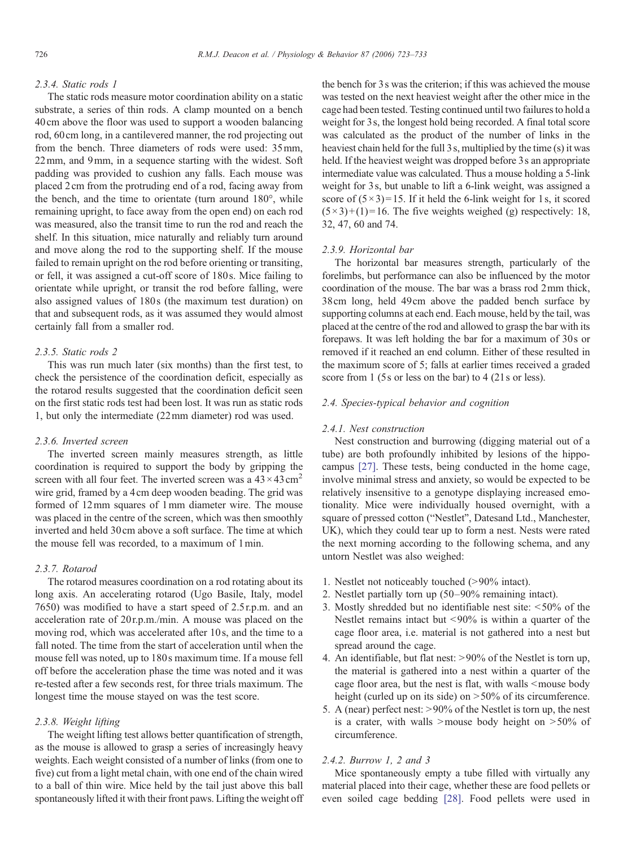# 2.3.4. Static rods 1

The static rods measure motor coordination ability on a static substrate, a series of thin rods. A clamp mounted on a bench 40cm above the floor was used to support a wooden balancing rod, 60cm long, in a cantilevered manner, the rod projecting out from the bench. Three diameters of rods were used: 35mm, 22mm, and 9mm, in a sequence starting with the widest. Soft padding was provided to cushion any falls. Each mouse was placed 2cm from the protruding end of a rod, facing away from the bench, and the time to orientate (turn around 180°, while remaining upright, to face away from the open end) on each rod was measured, also the transit time to run the rod and reach the shelf. In this situation, mice naturally and reliably turn around and move along the rod to the supporting shelf. If the mouse failed to remain upright on the rod before orienting or transiting, or fell, it was assigned a cut-off score of 180 s. Mice failing to orientate while upright, or transit the rod before falling, were also assigned values of 180s (the maximum test duration) on that and subsequent rods, as it was assumed they would almost certainly fall from a smaller rod.

# 2.3.5. Static rods 2

This was run much later (six months) than the first test, to check the persistence of the coordination deficit, especially as the rotarod results suggested that the coordination deficit seen on the first static rods test had been lost. It was run as static rods 1, but only the intermediate (22mm diameter) rod was used.

# 2.3.6. Inverted screen

The inverted screen mainly measures strength, as little coordination is required to support the body by gripping the screen with all four feet. The inverted screen was a  $43 \times 43 \text{ cm}^2$ wire grid, framed by a 4cm deep wooden beading. The grid was formed of 12mm squares of 1mm diameter wire. The mouse was placed in the centre of the screen, which was then smoothly inverted and held 30cm above a soft surface. The time at which the mouse fell was recorded, to a maximum of 1min.

# 2.3.7. Rotarod

The rotarod measures coordination on a rod rotating about its long axis. An accelerating rotarod (Ugo Basile, Italy, model 7650) was modified to have a start speed of 2.5 r.p.m. and an acceleration rate of 20r.p.m./min. A mouse was placed on the moving rod, which was accelerated after 10 s, and the time to a fall noted. The time from the start of acceleration until when the mouse fell was noted, up to 180s maximum time. If a mouse fell off before the acceleration phase the time was noted and it was re-tested after a few seconds rest, for three trials maximum. The longest time the mouse stayed on was the test score.

## 2.3.8. Weight lifting

The weight lifting test allows better quantification of strength, as the mouse is allowed to grasp a series of increasingly heavy weights. Each weight consisted of a number of links (from one to five) cut from a light metal chain, with one end of the chain wired to a ball of thin wire. Mice held by the tail just above this ball spontaneously lifted it with their front paws. Lifting the weight off the bench for 3s was the criterion; if this was achieved the mouse was tested on the next heaviest weight after the other mice in the cage had been tested. Testing continued until two failures to hold a weight for 3s, the longest hold being recorded. A final total score was calculated as the product of the number of links in the heaviest chain held for the full 3 s, multiplied by the time (s) it was held. If the heaviest weight was dropped before 3s an appropriate intermediate value was calculated. Thus a mouse holding a 5-link weight for 3s, but unable to lift a 6-link weight, was assigned a score of  $(5 \times 3)$ =15. If it held the 6-link weight for 1s, it scored  $(5\times3)+(1)=16$ . The five weights weighed (g) respectively: 18, 32, 47, 60 and 74.

## 2.3.9. Horizontal bar

The horizontal bar measures strength, particularly of the forelimbs, but performance can also be influenced by the motor coordination of the mouse. The bar was a brass rod 2mm thick, 38cm long, held 49cm above the padded bench surface by supporting columns at each end. Each mouse, held by the tail, was placed at the centre of the rod and allowed to grasp the bar with its forepaws. It was left holding the bar for a maximum of 30s or removed if it reached an end column. Either of these resulted in the maximum score of 5; falls at earlier times received a graded score from 1 (5s or less on the bar) to 4 (21s or less).

# 2.4. Species-typical behavior and cognition

#### 2.4.1. Nest construction

Nest construction and burrowing (digging material out of a tube) are both profoundly inhibited by lesions of the hippocampus [\[27\]](#page-10-0). These tests, being conducted in the home cage, involve minimal stress and anxiety, so would be expected to be relatively insensitive to a genotype displaying increased emotionality. Mice were individually housed overnight, with a square of pressed cotton ("Nestlet", Datesand Ltd., Manchester, UK), which they could tear up to form a nest. Nests were rated the next morning according to the following schema, and any untorn Nestlet was also weighed:

- 1. Nestlet not noticeably touched (>90% intact).
- 2. Nestlet partially torn up (50–90% remaining intact).
- 3. Mostly shredded but no identifiable nest site:  $\leq 50\%$  of the Nestlet remains intact but  $\langle 90\%$  is within a quarter of the cage floor area, i.e. material is not gathered into a nest but spread around the cage.
- 4. An identifiable, but flat nest:  $>90\%$  of the Nestlet is torn up, the material is gathered into a nest within a quarter of the cage floor area, but the nest is flat, with walls  $\leq$  mouse body height (curled up on its side) on  $>50\%$  of its circumference.
- 5. A (near) perfect nest:  $>90\%$  of the Nestlet is torn up, the nest is a crater, with walls  $\geq$  mouse body height on  $\geq$  50% of circumference.

# 2.4.2. Burrow 1, 2 and 3

Mice spontaneously empty a tube filled with virtually any material placed into their cage, whether these are food pellets or even soiled cage bedding [\[28\]](#page-10-0). Food pellets were used in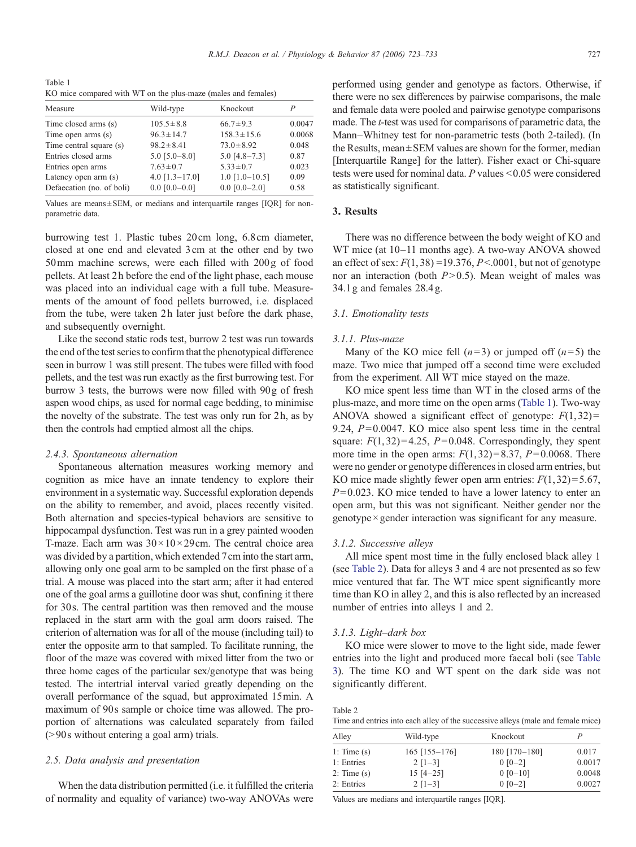<span id="page-4-0"></span>Table 1 KO mice compared with WT on the plus-maze (males and females)

| Measure                   | Wild-type             | Knockout             |        |
|---------------------------|-----------------------|----------------------|--------|
| Time closed arms (s)      | $105.5 \pm 8.8$       | $66.7 \pm 9.3$       | 0.0047 |
| Time open arms (s)        | $96.3 \pm 14.7$       | $158.3 \pm 15.6$     | 0.0068 |
| Time central square (s)   | $98.2 \pm 8.41$       | $73.0 \pm 8.92$      | 0.048  |
| Entries closed arms       | $5.0$ [ $5.0 - 8.0$ ] | $5.0$ [4.8-7.3]      | 0.87   |
| Entries open arms         | $7.63 \pm 0.7$        | $5.33 \pm 0.7$       | 0.023  |
| Latency open arm (s)      | 4.0 $[1.3 - 17.0]$    | $1.0$ $[1.0 - 10.5]$ | 0.09   |
| Defaecation (no. of boli) | $0.0$ [0.0-0.0]       | $0.0$ $[0.0-2.0]$    | 0.58   |

Values are means $\pm$  SEM, or medians and interquartile ranges [IQR] for nonparametric data.

burrowing test 1. Plastic tubes 20cm long, 6.8cm diameter, closed at one end and elevated 3cm at the other end by two 50mm machine screws, were each filled with 200g of food pellets. At least 2 h before the end of the light phase, each mouse was placed into an individual cage with a full tube. Measurements of the amount of food pellets burrowed, i.e. displaced from the tube, were taken 2h later just before the dark phase, and subsequently overnight.

Like the second static rods test, burrow 2 test was run towards the end of the test series to confirm that the phenotypical difference seen in burrow 1 was still present. The tubes were filled with food pellets, and the test was run exactly as the first burrowing test. For burrow 3 tests, the burrows were now filled with 90g of fresh aspen wood chips, as used for normal cage bedding, to minimise the novelty of the substrate. The test was only run for 2h, as by then the controls had emptied almost all the chips.

#### 2.4.3. Spontaneous alternation

Spontaneous alternation measures working memory and cognition as mice have an innate tendency to explore their environment in a systematic way. Successful exploration depends on the ability to remember, and avoid, places recently visited. Both alternation and species-typical behaviors are sensitive to hippocampal dysfunction. Test was run in a grey painted wooden T-maze. Each arm was  $30 \times 10 \times 29$  cm. The central choice area was divided by a partition, which extended 7cm into the start arm, allowing only one goal arm to be sampled on the first phase of a trial. A mouse was placed into the start arm; after it had entered one of the goal arms a guillotine door was shut, confining it there for 30s. The central partition was then removed and the mouse replaced in the start arm with the goal arm doors raised. The criterion of alternation was for all of the mouse (including tail) to enter the opposite arm to that sampled. To facilitate running, the floor of the maze was covered with mixed litter from the two or three home cages of the particular sex/genotype that was being tested. The intertrial interval varied greatly depending on the overall performance of the squad, but approximated 15min. A maximum of 90s sample or choice time was allowed. The proportion of alternations was calculated separately from failed  $(>90s$  without entering a goal arm) trials.

## 2.5. Data analysis and presentation

When the data distribution permitted (i.e. it fulfilled the criteria of normality and equality of variance) two-way ANOVAs were performed using gender and genotype as factors. Otherwise, if there were no sex differences by pairwise comparisons, the male and female data were pooled and pairwise genotype comparisons made. The t-test was used for comparisons of parametric data, the Mann–Whitney test for non-parametric tests (both 2-tailed). (In the Results, mean± SEM values are shown for the former, median [Interquartile Range] for the latter). Fisher exact or Chi-square tests were used for nominal data.  $P$  values < 0.05 were considered as statistically significant.

# 3. Results

There was no difference between the body weight of KO and WT mice (at 10–11 months age). A two-way ANOVA showed an effect of sex:  $F(1, 38) = 19.376$ ,  $P \le 0.001$ , but not of genotype nor an interaction (both  $P>0.5$ ). Mean weight of males was 34.1g and females 28.4 g.

## 3.1. Emotionality tests

#### 3.1.1. Plus-maze

Many of the KO mice fell  $(n=3)$  or jumped off  $(n=5)$  the maze. Two mice that jumped off a second time were excluded from the experiment. All WT mice stayed on the maze.

KO mice spent less time than WT in the closed arms of the plus-maze, and more time on the open arms (Table 1). Two-way ANOVA showed a significant effect of genotype:  $F(1, 32)$  = 9.24,  $P= 0.0047$ . KO mice also spent less time in the central square:  $F(1, 32)=4.25$ ,  $P=0.048$ . Correspondingly, they spent more time in the open arms:  $F(1, 32) = 8.37$ ,  $P= 0.0068$ . There were no gender or genotype differences in closed arm entries, but KO mice made slightly fewer open arm entries:  $F(1, 32) = 5.67$ ,  $P= 0.023$ . KO mice tended to have a lower latency to enter an open arm, but this was not significant. Neither gender nor the genotype × gender interaction was significant for any measure.

#### 3.1.2. Successive alleys

All mice spent most time in the fully enclosed black alley 1 (see Table 2). Data for alleys 3 and 4 are not presented as so few mice ventured that far. The WT mice spent significantly more time than KO in alley 2, and this is also reflected by an increased number of entries into alleys 1 and 2.

#### 3.1.3. Light–dark box

KO mice were slower to move to the light side, made fewer entries into the light and produced more faecal boli (see [Table](#page-5-0) [3\)](#page-5-0). The time KO and WT spent on the dark side was not significantly different.

| Table 2                                                                          |  |
|----------------------------------------------------------------------------------|--|
| Time and entries into each alley of the successive alleys (male and female mice) |  |

| Alley           | Wild-type       | Knockout      |        |
|-----------------|-----------------|---------------|--------|
| 1: Time $(s)$   | $165$ [155-176] | 180 [170-180] | 0.017  |
| 1: Entries      | $2$ [1-3]       | $0 [0-2]$     | 0.0017 |
| $2:$ Time $(s)$ | $15 [4 - 25]$   | $0$ [0-10]    | 0.0048 |
| 2: Entries      | $2$ [1-3]       | $0.0 - 21$    | 0.0027 |

Values are medians and interquartile ranges [IQR].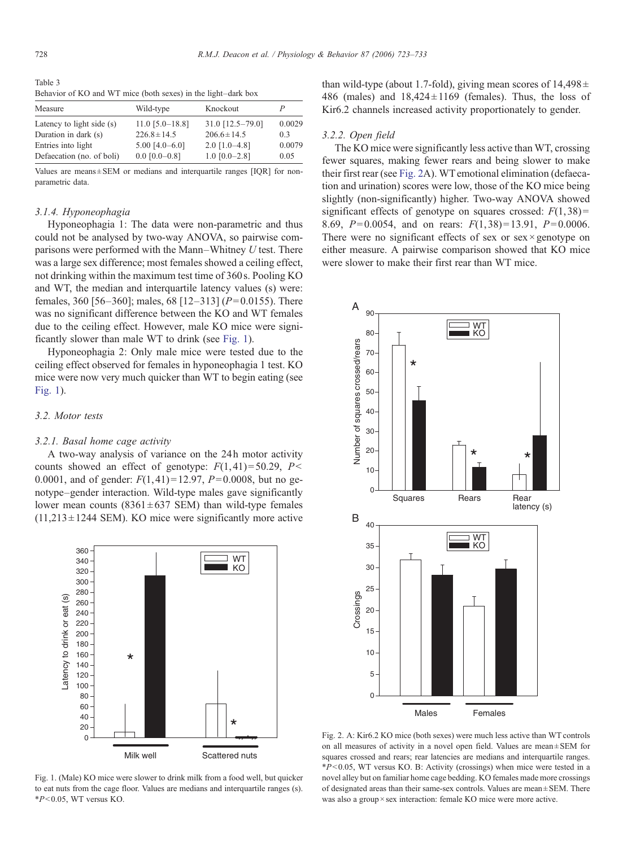<span id="page-5-0"></span>Table 3 Behavior of KO and WT mice (both sexes) in the light–dark box

| Measure                   | Wild-type         | Knockout           |        |
|---------------------------|-------------------|--------------------|--------|
| Latency to light side (s) | $11.0$ [5.0-18.8] | $31.0$ [12.5-79.0] | 0.0029 |
| Duration in dark (s)      | $226.8 \pm 14.5$  | $206.6 \pm 14.5$   | 0.3    |
| Entries into light        | $5.00$ [4.0-6.0]  | $2.0$ [1.0-4.8]    | 0.0079 |
| Defaecation (no. of boli) | $0.0$ [0.0-0.8]   | $1.0$ [0.0-2.8]    | 0.05   |

Values are means $\pm$  SEM or medians and interquartile ranges [IQR] for nonparametric data.

# 3.1.4. Hyponeophagia

Hyponeophagia 1: The data were non-parametric and thus could not be analysed by two-way ANOVA, so pairwise comparisons were performed with the Mann–Whitney  $U$  test. There was a large sex difference; most females showed a ceiling effect, not drinking within the maximum test time of 360 s. Pooling KO and WT, the median and interquartile latency values (s) were: females, 360 [56–360]; males, 68 [12–313] ( $P=0.0155$ ). There was no significant difference between the KO and WT females due to the ceiling effect. However, male KO mice were significantly slower than male WT to drink (see Fig. 1).

Hyponeophagia 2: Only male mice were tested due to the ceiling effect observed for females in hyponeophagia 1 test. KO mice were now very much quicker than WT to begin eating (see Fig. 1).

# 3.2. Motor tests

#### 3.2.1. Basal home cage activity

A two-way analysis of variance on the 24h motor activity counts showed an effect of genotype:  $F(1, 41) = 50.29$ ,  $P \le$ 0.0001, and of gender:  $F(1, 41) = 12.97$ ,  $P=0.0008$ , but no genotype–gender interaction. Wild-type males gave significantly lower mean counts  $(8361 \pm 637 \text{ SEM})$  than wild-type females  $(11,213 \pm 1244$  SEM). KO mice were significantly more active



Fig. 1. (Male) KO mice were slower to drink milk from a food well, but quicker to eat nuts from the cage floor. Values are medians and interquartile ranges (s).  $*P<0.05$ , WT versus KO.

than wild-type (about 1.7-fold), giving mean scores of  $14,498 \pm$ 486 (males) and  $18,424 \pm 1169$  (females). Thus, the loss of Kir6.2 channels increased activity proportionately to gender.

#### 3.2.2. Open field

The KO mice were significantly less active than WT, crossing fewer squares, making fewer rears and being slower to make their first rear (see Fig. 2A). WT emotional elimination (defaecation and urination) scores were low, those of the KO mice being slightly (non-significantly) higher. Two-way ANOVA showed significant effects of genotype on squares crossed:  $F(1,38)$  = 8.69,  $P= 0.0054$ , and on rears:  $F(1, 38)=13.91$ ,  $P= 0.0006$ . There were no significant effects of sex or sex  $\times$  genotype on either measure. A pairwise comparison showed that KO mice were slower to make their first rear than WT mice.



Fig. 2. A: Kir6.2 KO mice (both sexes) were much less active than WT controls on all measures of activity in a novel open field. Values are mean ± SEM for squares crossed and rears; rear latencies are medians and interquartile ranges.  $*P<0.05$ , WT versus KO. B: Activity (crossings) when mice were tested in a novel alley but on familiar home cage bedding. KO females made more crossings of designated areas than their same-sex controls. Values are mean  $\pm$  SEM. There was also a group  $\times$  sex interaction: female KO mice were more active.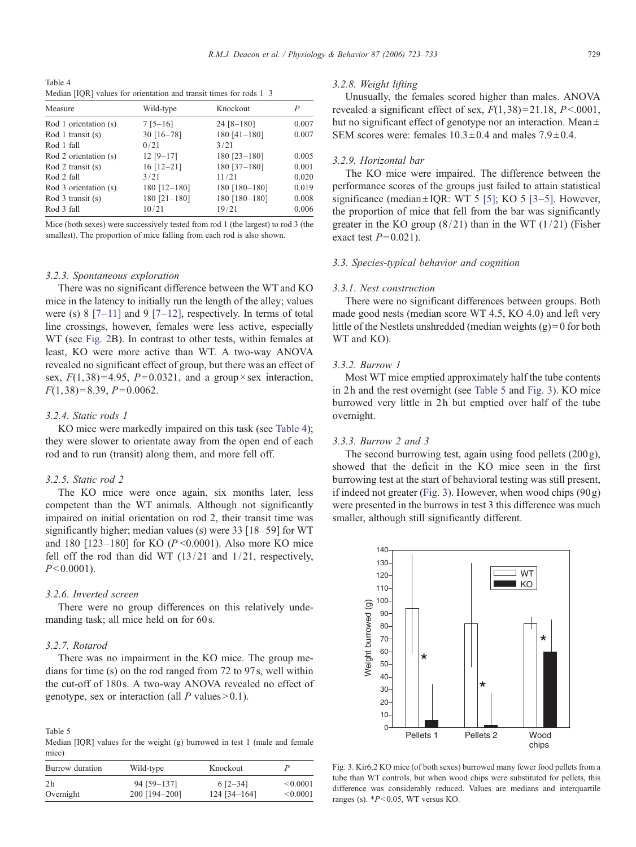Table 4 Median [IQR] values for orientation and transit times for rods  $1-3$ 

| Measure               | Wild-type    | Knockout       | P     |
|-----------------------|--------------|----------------|-------|
| Rod 1 orientation (s) | $7 [5 - 16]$ | $24 [8 - 180]$ | 0.007 |
| Rod 1 transit $(s)$   | $30$ [16-78] | $180$ [41-180] | 0.007 |
| Rod 1 fall            | 0/21         | 3/21           |       |
| Rod 2 orientation (s) | $12 [9-17]$  | 180 [23-180]   | 0.005 |
| Rod 2 transit $(s)$   | $16$ [12-21] | 180 [37-180]   | 0.001 |
| Rod 2 fall            | 3/21         | 11/21          | 0.020 |
| Rod 3 orientation (s) | 180 [12-180] | 180 [180-180]  | 0.019 |
| Rod $3$ transit $(s)$ | 180 [21-180] | 180 [180-180]  | 0.008 |
| Rod 3 fall            | 10/21        | 19/21          | 0.006 |

Mice (both sexes) were successively tested from rod 1 (the largest) to rod 3 (the smallest). The proportion of mice falling from each rod is also shown.

#### 3.2.3. Spontaneous exploration

There was no significant difference between the WT and KO mice in the latency to initially run the length of the alley; values were (s)  $8$  [7–[11\]](#page-10-0) and  $9$  [7–[12\],](#page-10-0) respectively. In terms of total line crossings, however, females were less active, especially WT (see [Fig. 2](#page-5-0)B). In contrast to other tests, within females at least, KO were more active than WT. A two-way ANOVA revealed no significant effect of group, but there was an effect of sex,  $F(1, 38) = 4.95$ ,  $P= 0.0321$ , and a group × sex interaction,  $F(1, 38) = 8.39, P = 0.0062.$ 

# 3.2.4. Static rods 1

KO mice were markedly impaired on this task (see Table 4); they were slower to orientate away from the open end of each rod and to run (transit) along them, and more fell off.

## 3.2.5. Static rod 2

The KO mice were once again, six months later, less competent than the WT animals. Although not significantly impaired on initial orientation on rod 2, their transit time was significantly higher; median values (s) were 33 [18–59] for WT and 180 [123–180] for KO ( $P \le 0.0001$ ). Also more KO mice fell off the rod than did WT  $(13/21)$  and  $1/21$ , respectively,  $P<0.0001$ ).

# 3.2.6. Inverted screen

There were no group differences on this relatively undemanding task; all mice held on for 60 s.

#### 3.2.7. Rotarod

There was no impairment in the KO mice. The group medians for time (s) on the rod ranged from 72 to 97 s, well within the cut-off of 180s. A two-way ANOVA revealed no effect of genotype, sex or interaction (all  $P$  values > 0.1).

Table 5 Median [IQR] values for the weight (g) burrowed in test 1 (male and female mice)

| Burrow duration | Wild-type     | Knockout       |          |
|-----------------|---------------|----------------|----------|
| 2 <sub>h</sub>  | 94 [59-137]   | $6$ [2-34]     | < 0.0001 |
| Overnight       | 200 [194-200] | $124$ [34-164] | < 0.0001 |

#### 3.2.8. Weight lifting

Unusually, the females scored higher than males. ANOVA revealed a significant effect of sex,  $F(1, 38) = 21.18$ ,  $P \le 0.0001$ , but no significant effect of genotype nor an interaction. Mean  $\pm$ SEM scores were: females  $10.3 \pm 0.4$  and males  $7.9 \pm 0.4$ .

# 3.2.9. Horizontal bar

The KO mice were impaired. The difference between the performance scores of the groups just failed to attain statistical significance (median  $\pm$  IQR: WT 5 [\[5\]](#page-10-0); KO 5 [\[3](#page-10-0)-5]. However, the proportion of mice that fell from the bar was significantly greater in the KO group  $(8/21)$  than in the WT  $(1/21)$  (Fisher exact test  $P = 0.021$ .

# 3.3. Species-typical behavior and cognition

## 3.3.1. Nest construction

There were no significant differences between groups. Both made good nests (median score WT 4.5, KO 4.0) and left very little of the Nestlets unshredded (median weights  $(g)=0$  for both WT and KO).

# 3.3.2. Burrow 1

Most WT mice emptied approximately half the tube contents in 2h and the rest overnight (see Table 5 and Fig. 3). KO mice burrowed very little in 2h but emptied over half of the tube overnight.

## 3.3.3. Burrow 2 and 3

The second burrowing test, again using food pellets  $(200 g)$ , showed that the deficit in the KO mice seen in the first burrowing test at the start of behavioral testing was still present, if indeed not greater (Fig. 3). However, when wood chips (90 g) were presented in the burrows in test 3 this difference was much smaller, although still significantly different.



Fig. 3. Kir6.2 KO mice (of both sexes) burrowed many fewer food pellets from a tube than WT controls, but when wood chips were substituted for pellets, this difference was considerably reduced. Values are medians and interquartile ranges (s).  $*P<0.05$ , WT versus KO.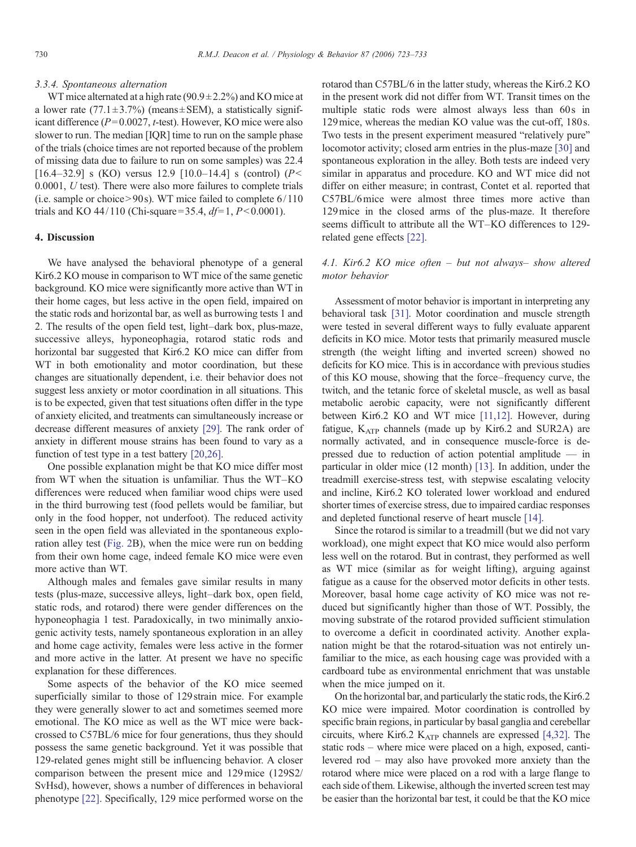## 3.3.4. Spontaneous alternation

WT mice alternated at a high rate  $(90.9 \pm 2.2\%)$  and KO mice at a lower rate  $(77.1 \pm 3.7\%)$  (means $\pm$ SEM), a statistically significant difference ( $P= 0.0027$ , t-test). However, KO mice were also slower to run. The median [IQR] time to run on the sample phase of the trials (choice times are not reported because of the problem of missing data due to failure to run on some samples) was 22.4 [16.4–32.9] s (KO) versus 12.9 [10.0–14.4] s (control) ( $P$  < 0.0001, U test). There were also more failures to complete trials (i.e. sample or choice $> 90$ s). WT mice failed to complete  $6/110$ trials and KO 44/110 (Chi-square = 35.4,  $df=1, P<0.0001$ ).

# 4. Discussion

We have analysed the behavioral phenotype of a general Kir6.2 KO mouse in comparison to WT mice of the same genetic background. KO mice were significantly more active than WT in their home cages, but less active in the open field, impaired on the static rods and horizontal bar, as well as burrowing tests 1 and 2. The results of the open field test, light–dark box, plus-maze, successive alleys, hyponeophagia, rotarod static rods and horizontal bar suggested that Kir6.2 KO mice can differ from WT in both emotionality and motor coordination, but these changes are situationally dependent, i.e. their behavior does not suggest less anxiety or motor coordination in all situations. This is to be expected, given that test situations often differ in the type of anxiety elicited, and treatments can simultaneously increase or decrease different measures of anxiety [\[29\].](#page-10-0) The rank order of anxiety in different mouse strains has been found to vary as a function of test type in a test battery [\[20,26\].](#page-10-0)

One possible explanation might be that KO mice differ most from WT when the situation is unfamiliar. Thus the WT–KO differences were reduced when familiar wood chips were used in the third burrowing test (food pellets would be familiar, but only in the food hopper, not underfoot). The reduced activity seen in the open field was alleviated in the spontaneous exploration alley test [\(Fig. 2B](#page-5-0)), when the mice were run on bedding from their own home cage, indeed female KO mice were even more active than WT.

Although males and females gave similar results in many tests (plus-maze, successive alleys, light–dark box, open field, static rods, and rotarod) there were gender differences on the hyponeophagia 1 test. Paradoxically, in two minimally anxiogenic activity tests, namely spontaneous exploration in an alley and home cage activity, females were less active in the former and more active in the latter. At present we have no specific explanation for these differences.

Some aspects of the behavior of the KO mice seemed superficially similar to those of 129 strain mice. For example they were generally slower to act and sometimes seemed more emotional. The KO mice as well as the WT mice were backcrossed to C57BL/6 mice for four generations, thus they should possess the same genetic background. Yet it was possible that 129-related genes might still be influencing behavior. A closer comparison between the present mice and 129mice (129S2/ SvHsd), however, shows a number of differences in behavioral phenotype [\[22\]](#page-10-0). Specifically, 129 mice performed worse on the

rotarod than C57BL/6 in the latter study, whereas the Kir6.2 KO in the present work did not differ from WT. Transit times on the multiple static rods were almost always less than 60s in 129 mice, whereas the median KO value was the cut-off, 180 s. Two tests in the present experiment measured "relatively pure" locomotor activity; closed arm entries in the plus-maze [\[30\]](#page-10-0) and spontaneous exploration in the alley. Both tests are indeed very similar in apparatus and procedure. KO and WT mice did not differ on either measure; in contrast, Contet et al. reported that C57BL/6mice were almost three times more active than 129mice in the closed arms of the plus-maze. It therefore seems difficult to attribute all the WT–KO differences to 129 related gene effects [\[22\].](#page-10-0)

# 4.1. Kir6.2 KO mice often – but not always– show altered motor behavior

Assessment of motor behavior is important in interpreting any behavioral task [\[31\].](#page-10-0) Motor coordination and muscle strength were tested in several different ways to fully evaluate apparent deficits in KO mice. Motor tests that primarily measured muscle strength (the weight lifting and inverted screen) showed no deficits for KO mice. This is in accordance with previous studies of this KO mouse, showing that the force–frequency curve, the twitch, and the tetanic force of skeletal muscle, as well as basal metabolic aerobic capacity, were not significantly different between Kir6.2 KO and WT mice [\[11,12\].](#page-10-0) However, during fatigue, K<sub>ATP</sub> channels (made up by Kir6.2 and SUR2A) are normally activated, and in consequence muscle-force is depressed due to reduction of action potential amplitude — in particular in older mice (12 month) [\[13\]](#page-10-0). In addition, under the treadmill exercise-stress test, with stepwise escalating velocity and incline, Kir6.2 KO tolerated lower workload and endured shorter times of exercise stress, due to impaired cardiac responses and depleted functional reserve of heart muscle [\[14\]](#page-10-0).

Since the rotarod is similar to a treadmill (but we did not vary workload), one might expect that KO mice would also perform less well on the rotarod. But in contrast, they performed as well as WT mice (similar as for weight lifting), arguing against fatigue as a cause for the observed motor deficits in other tests. Moreover, basal home cage activity of KO mice was not reduced but significantly higher than those of WT. Possibly, the moving substrate of the rotarod provided sufficient stimulation to overcome a deficit in coordinated activity. Another explanation might be that the rotarod-situation was not entirely unfamiliar to the mice, as each housing cage was provided with a cardboard tube as environmental enrichment that was unstable when the mice jumped on it.

On the horizontal bar, and particularly the static rods, the Kir6.2 KO mice were impaired. Motor coordination is controlled by specific brain regions, in particular by basal ganglia and cerebellar circuits, where Kir6.2  $K_{ATP}$  channels are expressed [\[4,32\].](#page-10-0) The static rods – where mice were placed on a high, exposed, cantilevered rod – may also have provoked more anxiety than the rotarod where mice were placed on a rod with a large flange to each side of them. Likewise, although the inverted screen test may be easier than the horizontal bar test, it could be that the KO mice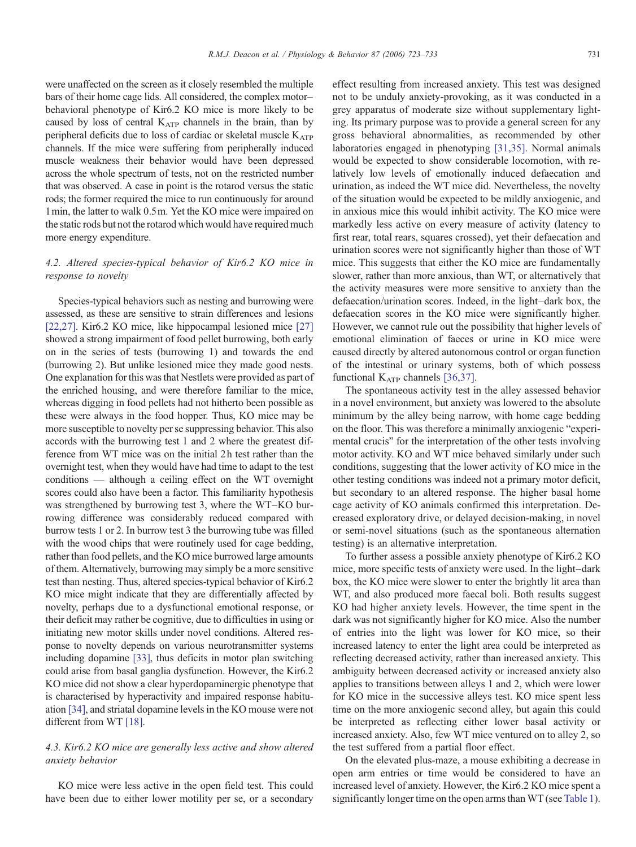were unaffected on the screen as it closely resembled the multiple bars of their home cage lids. All considered, the complex motor– behavioral phenotype of Kir6.2 KO mice is more likely to be caused by loss of central KATP channels in the brain, than by peripheral deficits due to loss of cardiac or skeletal muscle  $K_{ATP}$ channels. If the mice were suffering from peripherally induced muscle weakness their behavior would have been depressed across the whole spectrum of tests, not on the restricted number that was observed. A case in point is the rotarod versus the static rods; the former required the mice to run continuously for around 1min, the latter to walk 0.5m. Yet the KO mice were impaired on the static rods but not the rotarod which would have required much more energy expenditure.

# 4.2. Altered species-typical behavior of Kir6.2 KO mice in response to novelty

Species-typical behaviors such as nesting and burrowing were assessed, as these are sensitive to strain differences and lesions [\[22,27\].](#page-10-0) Kir6.2 KO mice, like hippocampal lesioned mice [\[27\]](#page-10-0) showed a strong impairment of food pellet burrowing, both early on in the series of tests (burrowing 1) and towards the end (burrowing 2). But unlike lesioned mice they made good nests. One explanation for this was that Nestlets were provided as part of the enriched housing, and were therefore familiar to the mice, whereas digging in food pellets had not hitherto been possible as these were always in the food hopper. Thus, KO mice may be more susceptible to novelty per se suppressing behavior. This also accords with the burrowing test 1 and 2 where the greatest difference from WT mice was on the initial 2h test rather than the overnight test, when they would have had time to adapt to the test conditions — although a ceiling effect on the WT overnight scores could also have been a factor. This familiarity hypothesis was strengthened by burrowing test 3, where the WT–KO burrowing difference was considerably reduced compared with burrow tests 1 or 2. In burrow test 3 the burrowing tube was filled with the wood chips that were routinely used for cage bedding, rather than food pellets, and the KO mice burrowed large amounts of them. Alternatively, burrowing may simply be a more sensitive test than nesting. Thus, altered species-typical behavior of Kir6.2 KO mice might indicate that they are differentially affected by novelty, perhaps due to a dysfunctional emotional response, or their deficit may rather be cognitive, due to difficulties in using or initiating new motor skills under novel conditions. Altered response to novelty depends on various neurotransmitter systems including dopamine [\[33\],](#page-10-0) thus deficits in motor plan switching could arise from basal ganglia dysfunction. However, the Kir6.2 KO mice did not show a clear hyperdopaminergic phenotype that is characterised by hyperactivity and impaired response habituation [\[34\],](#page-10-0) and striatal dopamine levels in the KO mouse were not different from WT [\[18\].](#page-10-0)

# 4.3. Kir6.2 KO mice are generally less active and show altered anxiety behavior

KO mice were less active in the open field test. This could have been due to either lower motility per se, or a secondary effect resulting from increased anxiety. This test was designed not to be unduly anxiety-provoking, as it was conducted in a grey apparatus of moderate size without supplementary lighting. Its primary purpose was to provide a general screen for any gross behavioral abnormalities, as recommended by other laboratories engaged in phenotyping [\[31,35\].](#page-10-0) Normal animals would be expected to show considerable locomotion, with relatively low levels of emotionally induced defaecation and urination, as indeed the WT mice did. Nevertheless, the novelty of the situation would be expected to be mildly anxiogenic, and in anxious mice this would inhibit activity. The KO mice were markedly less active on every measure of activity (latency to first rear, total rears, squares crossed), yet their defaecation and urination scores were not significantly higher than those of WT mice. This suggests that either the KO mice are fundamentally slower, rather than more anxious, than WT, or alternatively that the activity measures were more sensitive to anxiety than the defaecation/urination scores. Indeed, in the light–dark box, the defaecation scores in the KO mice were significantly higher. However, we cannot rule out the possibility that higher levels of emotional elimination of faeces or urine in KO mice were caused directly by altered autonomous control or organ function of the intestinal or urinary systems, both of which possess functional  $K_{ATP}$  channels [\[36,37\]](#page-10-0).

The spontaneous activity test in the alley assessed behavior in a novel environment, but anxiety was lowered to the absolute minimum by the alley being narrow, with home cage bedding on the floor. This was therefore a minimally anxiogenic "experimental crucis" for the interpretation of the other tests involving motor activity. KO and WT mice behaved similarly under such conditions, suggesting that the lower activity of KO mice in the other testing conditions was indeed not a primary motor deficit, but secondary to an altered response. The higher basal home cage activity of KO animals confirmed this interpretation. Decreased exploratory drive, or delayed decision-making, in novel or semi-novel situations (such as the spontaneous alternation testing) is an alternative interpretation.

To further assess a possible anxiety phenotype of Kir6.2 KO mice, more specific tests of anxiety were used. In the light–dark box, the KO mice were slower to enter the brightly lit area than WT, and also produced more faecal boli. Both results suggest KO had higher anxiety levels. However, the time spent in the dark was not significantly higher for KO mice. Also the number of entries into the light was lower for KO mice, so their increased latency to enter the light area could be interpreted as reflecting decreased activity, rather than increased anxiety. This ambiguity between decreased activity or increased anxiety also applies to transitions between alleys 1 and 2, which were lower for KO mice in the successive alleys test. KO mice spent less time on the more anxiogenic second alley, but again this could be interpreted as reflecting either lower basal activity or increased anxiety. Also, few WT mice ventured on to alley 2, so the test suffered from a partial floor effect.

On the elevated plus-maze, a mouse exhibiting a decrease in open arm entries or time would be considered to have an increased level of anxiety. However, the Kir6.2 KO mice spent a significantly longer time on the open arms than WT (see [Table 1\)](#page-4-0).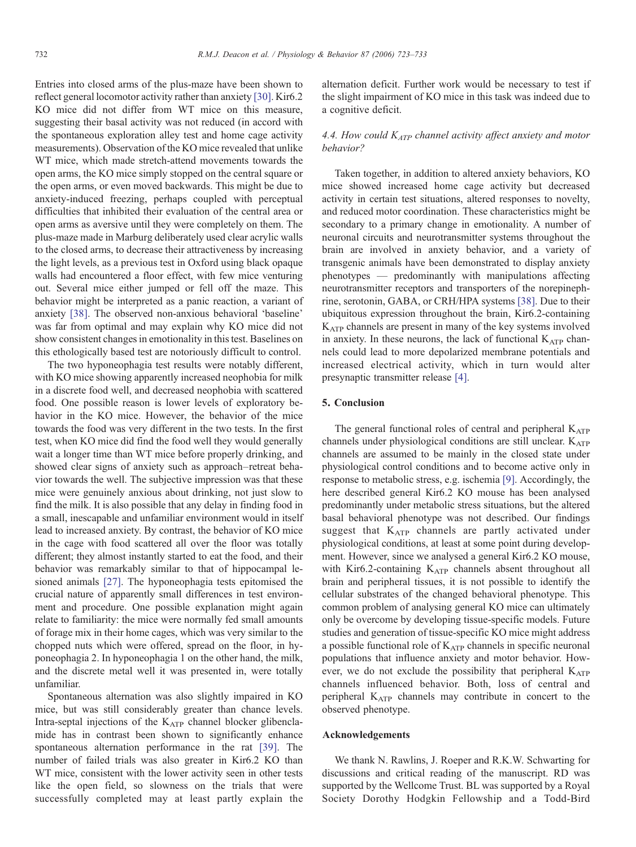Entries into closed arms of the plus-maze have been shown to reflect general locomotor activity rather than anxiety [\[30\]](#page-10-0). Kir6.2 KO mice did not differ from WT mice on this measure, suggesting their basal activity was not reduced (in accord with the spontaneous exploration alley test and home cage activity measurements). Observation of the KO mice revealed that unlike WT mice, which made stretch-attend movements towards the open arms, the KO mice simply stopped on the central square or the open arms, or even moved backwards. This might be due to anxiety-induced freezing, perhaps coupled with perceptual difficulties that inhibited their evaluation of the central area or open arms as aversive until they were completely on them. The plus-maze made in Marburg deliberately used clear acrylic walls to the closed arms, to decrease their attractiveness by increasing the light levels, as a previous test in Oxford using black opaque walls had encountered a floor effect, with few mice venturing out. Several mice either jumped or fell off the maze. This behavior might be interpreted as a panic reaction, a variant of anxiety [\[38\]](#page-10-0). The observed non-anxious behavioral 'baseline' was far from optimal and may explain why KO mice did not show consistent changes in emotionality in this test. Baselines on this ethologically based test are notoriously difficult to control.

The two hyponeophagia test results were notably different, with KO mice showing apparently increased neophobia for milk in a discrete food well, and decreased neophobia with scattered food. One possible reason is lower levels of exploratory behavior in the KO mice. However, the behavior of the mice towards the food was very different in the two tests. In the first test, when KO mice did find the food well they would generally wait a longer time than WT mice before properly drinking, and showed clear signs of anxiety such as approach–retreat behavior towards the well. The subjective impression was that these mice were genuinely anxious about drinking, not just slow to find the milk. It is also possible that any delay in finding food in a small, inescapable and unfamiliar environment would in itself lead to increased anxiety. By contrast, the behavior of KO mice in the cage with food scattered all over the floor was totally different; they almost instantly started to eat the food, and their behavior was remarkably similar to that of hippocampal lesioned animals [\[27\]](#page-10-0). The hyponeophagia tests epitomised the crucial nature of apparently small differences in test environment and procedure. One possible explanation might again relate to familiarity: the mice were normally fed small amounts of forage mix in their home cages, which was very similar to the chopped nuts which were offered, spread on the floor, in hyponeophagia 2. In hyponeophagia 1 on the other hand, the milk, and the discrete metal well it was presented in, were totally unfamiliar.

Spontaneous alternation was also slightly impaired in KO mice, but was still considerably greater than chance levels. Intra-septal injections of the  $K_{ATP}$  channel blocker glibenclamide has in contrast been shown to significantly enhance spontaneous alternation performance in the rat [\[39\]](#page-10-0). The number of failed trials was also greater in Kir6.2 KO than WT mice, consistent with the lower activity seen in other tests like the open field, so slowness on the trials that were successfully completed may at least partly explain the

alternation deficit. Further work would be necessary to test if the slight impairment of KO mice in this task was indeed due to a cognitive deficit.

# 4.4. How could  $K_{ATP}$  channel activity affect anxiety and motor behavior?

Taken together, in addition to altered anxiety behaviors, KO mice showed increased home cage activity but decreased activity in certain test situations, altered responses to novelty, and reduced motor coordination. These characteristics might be secondary to a primary change in emotionality. A number of neuronal circuits and neurotransmitter systems throughout the brain are involved in anxiety behavior, and a variety of transgenic animals have been demonstrated to display anxiety phenotypes — predominantly with manipulations affecting neurotransmitter receptors and transporters of the norepinephrine, serotonin, GABA, or CRH/HPA systems [\[38\]](#page-10-0). Due to their ubiquitous expression throughout the brain, Kir6.2-containing KATP channels are present in many of the key systems involved in anxiety. In these neurons, the lack of functional  $K_{ATP}$  channels could lead to more depolarized membrane potentials and increased electrical activity, which in turn would alter presynaptic transmitter release [\[4\]](#page-10-0).

# 5. Conclusion

The general functional roles of central and peripheral  $K_{ATP}$ channels under physiological conditions are still unclear.  $K_{ATP}$ channels are assumed to be mainly in the closed state under physiological control conditions and to become active only in response to metabolic stress, e.g. ischemia [\[9\]](#page-10-0). Accordingly, the here described general Kir6.2 KO mouse has been analysed predominantly under metabolic stress situations, but the altered basal behavioral phenotype was not described. Our findings suggest that KATP channels are partly activated under physiological conditions, at least at some point during development. However, since we analysed a general Kir6.2 KO mouse, with Kir6.2-containing  $K_{ATP}$  channels absent throughout all brain and peripheral tissues, it is not possible to identify the cellular substrates of the changed behavioral phenotype. This common problem of analysing general KO mice can ultimately only be overcome by developing tissue-specific models. Future studies and generation of tissue-specific KO mice might address a possible functional role of  $K_{ATP}$  channels in specific neuronal populations that influence anxiety and motor behavior. However, we do not exclude the possibility that peripheral  $K_{ATP}$ channels influenced behavior. Both, loss of central and peripheral KATP channels may contribute in concert to the observed phenotype.

# Acknowledgements

We thank N. Rawlins, J. Roeper and R.K.W. Schwarting for discussions and critical reading of the manuscript. RD was supported by the Wellcome Trust. BL was supported by a Royal Society Dorothy Hodgkin Fellowship and a Todd-Bird